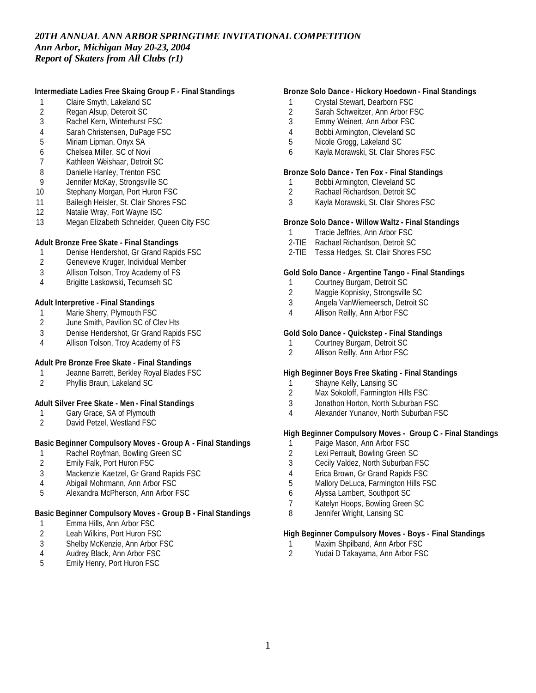# **Intermediate Ladies Free Skaing Group F - Final Standings**

- 1 Claire Smyth, Lakeland SC<br>2 Regan Alsup, Deteroit SC
- 2 Regan Alsup, Deteroit SC<br>3 Rachel Kern, Winterhurst I
- Rachel Kern, Winterhurst FSC
- 4 Sarah Christensen, DuPage FSC
- 5 Miriam Lipman, Onyx SA
- 6 Chelsea Miller, SC of Novi
- 7 Kathleen Weishaar, Detroit SC
- 8 Danielle Hanley, Trenton FSC
- 9 Jennifer McKay, Strongsville SC
- 10 Stephany Morgan, Port Huron FSC
- 11 Baileigh Heisler, St. Clair Shores FSC
- 12 Natalie Wray, Fort Wayne ISC
- 13 Megan Elizabeth Schneider, Queen City FSC

# **Adult Bronze Free Skate - Final Standings**

- 1 Denise Hendershot, Gr Grand Rapids FSC
- 2 Genevieve Kruger, Individual Member
- 3 Allison Tolson, Troy Academy of FS
- 4 Brigitte Laskowski, Tecumseh SC

#### **Adult Interpretive - Final Standings**

- 1 Marie Sherry, Plymouth FSC<br>2 June Smith, Pavilion SC of C
- June Smith, Pavilion SC of Clev Hts
- 3 Denise Hendershot, Gr Grand Rapids FSC
- 4 Allison Tolson, Troy Academy of FS

# **Adult Pre Bronze Free Skate - Final Standings**

- 1 Jeanne Barrett, Berkley Royal Blades FSC<br>2 Phyllis Braun, Lakeland SC
- 2 Phyllis Braun, Lakeland SC

# **Adult Silver Free Skate - Men - Final Standings**

- 1 Gary Grace, SA of Plymouth
- 2 David Petzel, Westland FSC

# **Basic Beginner Compulsory Moves - Group A - Final Standings**

- 1 Rachel Royfman, Bowling Green SC
- 2 Emily Falk, Port Huron FSC
- 3 Mackenzie Kaetzel, Gr Grand Rapids FSC
- 4 Abigail Mohrmann, Ann Arbor FSC
- 5 Alexandra McPherson, Ann Arbor FSC

#### **Basic Beginner Compulsory Moves - Group B - Final Standings**

- 1 Emma Hills, Ann Arbor FSC
- 2 Leah Wilkins, Port Huron FSC
- 3 Shelby McKenzie, Ann Arbor FSC<br>4 Audrey Black. Ann Arbor FSC
- 4 Audrey Black, Ann Arbor FSC<br>5 Emily Henry, Port Huron FSC
- 5 Emily Henry, Port Huron FSC

# **Bronze Solo Dance - Hickory Hoedown - Final Standings**

- 1 Crystal Stewart, Dearborn FSC
- 2 Sarah Schweitzer, Ann Arbor FSC<br>3 Emmy Weinert. Ann Arbor FSC
- Emmy Weinert, Ann Arbor FSC
- 4 Bobbi Armington, Cleveland SC
- 5 Nicole Grogg, Lakeland SC
- 6 Kayla Morawski, St. Clair Shores FSC

#### **Bronze Solo Dance - Ten Fox - Final Standings**

- 1 Bobbi Armington, Cleveland SC
- 2 Rachael Richardson, Detroit SC
- 3 Kayla Morawski, St. Clair Shores FSC

### **Bronze Solo Dance - Willow Waltz - Final Standings**

- 1 Tracie Jeffries, Ann Arbor FSC
- 2-TIE Rachael Richardson, Detroit SC
- 2-TIE Tessa Hedges, St. Clair Shores FSC

#### **Gold Solo Dance - Argentine Tango - Final Standings**

- 1 Courtney Burgam, Detroit SC
- 2 Maggie Kopnisky, Strongsville SC
- 3 Angela VanWiemeersch, Detroit SC
- 4 Allison Reilly, Ann Arbor FSC

#### **Gold Solo Dance - Quickstep - Final Standings**

- 
- 1 Courtney Burgam, Detroit SC<br>2 Allison Reilly, Ann Arbor FSC Allison Reilly, Ann Arbor FSC

# **High Beginner Boys Free Skating - Final Standings**

- 1 Shayne Kelly, Lansing SC
- 2 Max Sokoloff, Farmington Hills FSC
- 3 Jonathon Horton, North Suburban FSC
- 4 Alexander Yunanov, North Suburban FSC

# **High Beginner Compulsory Moves - Group C - Final Standings**

- 1 Paige Mason, Ann Arbor FSC
- 2 Lexi Perrault, Bowling Green SC
- 3 Cecily Valdez, North Suburban FSC
- 4 Erica Brown, Gr Grand Rapids FSC
- 5 Mallory DeLuca, Farmington Hills FSC
- 6 Alyssa Lambert, Southport SC
- 7 Katelyn Hoops, Bowling Green SC
- 8 Jennifer Wright, Lansing SC

# **High Beginner Compulsory Moves - Boys - Final Standings**

- 1 Maxim Shpilband, Ann Arbor FSC<br>2 Yudai D Takavama, Ann Arbor FS
- Yudai D Takayama, Ann Arbor FSC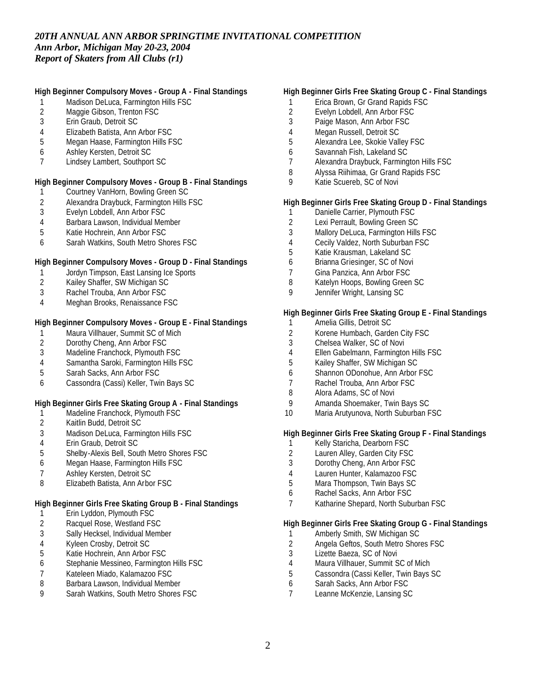# **High Beginner Compulsory Moves - Group A - Final Standings**

- Madison DeLuca, Farmington Hills FSC
- 2 Maggie Gibson, Trenton FSC<br>3 Erin Graub. Detroit SC
- Erin Graub, Detroit SC
- Elizabeth Batista, Ann Arbor FSC
- Megan Haase, Farmington Hills FSC
- Ashley Kersten, Detroit SC
- Lindsey Lambert, Southport SC

### **High Beginner Compulsory Moves - Group B - Final Standings**

- Courtney VanHorn, Bowling Green SC
- 2 Alexandra Draybuck, Farmington Hills FSC<br>3 Evelyn Lobdell, Ann Arbor FSC
- Evelyn Lobdell, Ann Arbor FSC
- Barbara Lawson, Individual Member
- Katie Hochrein, Ann Arbor FSC
- Sarah Watkins, South Metro Shores FSC

### **High Beginner Compulsory Moves - Group D - Final Standings**

- Jordyn Timpson, East Lansing Ice Sports
- Kailey Shaffer, SW Michigan SC
- Rachel Trouba, Ann Arbor FSC
- Meghan Brooks, Renaissance FSC

# **High Beginner Compulsory Moves - Group E - Final Standings**

- 1 Maura Villhauer, Summit SC of Mich<br>2 Dorothy Cheng, Ann Arbor FSC
- 2 Dorothy Cheng, Ann Arbor FSC<br>3 Madeline Franchock. Plymouth F
- Madeline Franchock, Plymouth FSC
- Samantha Saroki, Farmington Hills FSC
- Sarah Sacks, Ann Arbor FSC
- Cassondra (Cassi) Keller, Twin Bays SC

# **High Beginner Girls Free Skating Group A - Final Standings**

- Madeline Franchock, Plymouth FSC
- Kaitlin Budd, Detroit SC
- Madison DeLuca, Farmington Hills FSC
- Erin Graub, Detroit SC
- Shelby-Alexis Bell, South Metro Shores FSC
- Megan Haase, Farmington Hills FSC
- Ashley Kersten, Detroit SC
- Elizabeth Batista, Ann Arbor FSC

# **High Beginner Girls Free Skating Group B - Final Standings**

- Erin Lyddon, Plymouth FSC
- Racquel Rose, Westland FSC
- Sally Hecksel, Individual Member
- 4 Kyleen Crosby, Detroit SC<br>5 Katie Hochrein, Ann Arbor
- Katie Hochrein, Ann Arbor FSC
- Stephanie Messineo, Farmington Hills FSC
- 7 Kateleen Miado, Kalamazoo FSC<br>8 Barbara Lawson, Individual Memb
- Barbara Lawson, Individual Member
- Sarah Watkins, South Metro Shores FSC

#### **High Beginner Girls Free Skating Group C - Final Standings**

- Erica Brown, Gr Grand Rapids FSC
- 2 Evelyn Lobdell, Ann Arbor FSC<br>3 Paige Mason. Ann Arbor FSC
- Paige Mason, Ann Arbor FSC
- Megan Russell, Detroit SC
- Alexandra Lee, Skokie Valley FSC
- Savannah Fish, Lakeland SC
- Alexandra Draybuck, Farmington Hills FSC
- Alyssa Riihimaa, Gr Grand Rapids FSC
- Katie Scuereb, SC of Novi

# **High Beginner Girls Free Skating Group D - Final Standings**

- 1 Danielle Carrier, Plymouth FSC
- Lexi Perrault, Bowling Green SC
- Mallory DeLuca, Farmington Hills FSC
- Cecily Valdez, North Suburban FSC
- Katie Krausman, Lakeland SC
- Brianna Griesinger, SC of Novi
- Gina Panzica, Ann Arbor FSC
- Katelyn Hoops, Bowling Green SC
- Jennifer Wright, Lansing SC

### **High Beginner Girls Free Skating Group E - Final Standings**

- Amelia Gillis, Detroit SC
- Korene Humbach, Garden City FSC
- Chelsea Walker, SC of Novi
- Ellen Gabelmann, Farmington Hills FSC
- Kailey Shaffer, SW Michigan SC
- Shannon ODonohue, Ann Arbor FSC
- Rachel Trouba, Ann Arbor FSC
- Alora Adams, SC of Novi
- Amanda Shoemaker, Twin Bays SC
- Maria Arutyunova, North Suburban FSC

# **High Beginner Girls Free Skating Group F - Final Standings**

- 1 Kelly Staricha, Dearborn FSC<br>2 Lauren Allev, Garden City FSC
- Lauren Alley, Garden City FSC
- Dorothy Cheng, Ann Arbor FSC
- Lauren Hunter, Kalamazoo FSC
- Mara Thompson, Twin Bays SC
- Rachel Sacks, Ann Arbor FSC
- Katharine Shepard, North Suburban FSC

#### **High Beginner Girls Free Skating Group G - Final Standings**

- 1 Amberly Smith, SW Michigan SC
- 2 Angela Geftos, South Metro Shores FSC<br>3 Lizette Baeza. SC of Novi
- Lizette Baeza, SC of Novi
- Maura Villhauer, Summit SC of Mich
- Cassondra (Cassi Keller, Twin Bays SC
- Sarah Sacks, Ann Arbor FSC
- Leanne McKenzie, Lansing SC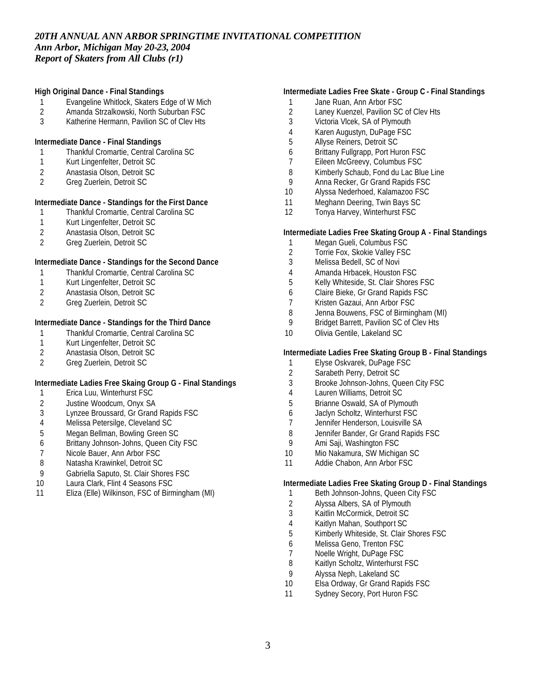# **High Original Dance - Final Standings**

- Evangeline Whitlock, Skaters Edge of W Mich
- 2 Amanda Strzalkowski, North Suburban FSC<br>3 Katherine Hermann, Pavilion SC of Clev Hts
- Katherine Hermann, Pavilion SC of Clev Hts

### **Intermediate Dance - Final Standings**

- Thankful Cromartie, Central Carolina SC
- Kurt Lingenfelter, Detroit SC
- Anastasia Olson, Detroit SC
- Greg Zuerlein, Detroit SC

# **Intermediate Dance - Standings for the First Dance**

- Thankful Cromartie, Central Carolina SC
- Kurt Lingenfelter, Detroit SC
- 2 Anastasia Olson, Detroit SC<br>2 Greg Zuerlein, Detroit SC
- Greg Zuerlein, Detroit SC

# **Intermediate Dance - Standings for the Second Dance**

- Thankful Cromartie, Central Carolina SC
- Kurt Lingenfelter, Detroit SC
- Anastasia Olson, Detroit SC
- Greg Zuerlein, Detroit SC

# **Intermediate Dance - Standings for the Third Dance**

- 1 Thankful Cromartie, Central Carolina SC<br>1 Kurt Lingenfelter, Detroit SC
- 1 Kurt Lingenfelter, Detroit SC<br>2 Anastasia Olson, Detroit SC
- 2 Anastasia Olson, Detroit SC<br>2 Greg Zuerlein, Detroit SC
- Greg Zuerlein, Detroit SC

#### **Intermediate Ladies Free Skaing Group G - Final Standings**

- Erica Luu, Winterhurst FSC
- Justine Woodcum, Onyx SA
- Lynzee Broussard, Gr Grand Rapids FSC
- Melissa Petersilge, Cleveland SC
- Megan Bellman, Bowling Green SC
- Brittany Johnson- Johns, Queen City FSC
- 7 Nicole Bauer, Ann Arbor FSC<br>8 Natasha Krawinkel. Detroit SC
- Natasha Krawinkel, Detroit SC
- Gabriella Saputo, St. Clair Shores FSC
- 10 Laura Clark, Flint 4 Seasons FSC
- Eliza (Elle) Wilkinson, FSC of Birmingham (MI)

# **Intermediate Ladies Free Skate - Group C - Final Standings**

- 1 Jane Ruan, Ann Arbor FSC
- 2 Laney Kuenzel, Pavilion SC of Clev Hts<br>3 Victoria Vlcek. SA of Plymouth
- Victoria Vlcek, SA of Plymouth
- Karen Augustyn, DuPage FSC
- Allyse Reiners, Detroit SC
- Brittany Fullgrapp, Port Huron FSC
- Eileen McGreevy, Columbus FSC
- Kimberly Schaub, Fond du Lac Blue Line
- Anna Recker, Gr Grand Rapids FSC
- Alyssa Nederhoed, Kalamazoo FSC
- Meghann Deering, Twin Bays SC
- Tonya Harvey, Winterhurst FSC

#### **Intermediate Ladies Free Skating Group A - Final Standings**

- Megan Gueli, Columbus FSC
- Torrie Fox, Skokie Valley FSC
- Melissa Bedell, SC of Novi
- Amanda Hrbacek, Houston FSC
- Kelly Whiteside, St. Clair Shores FSC
- Claire Bieke, Gr Grand Rapids FSC
- Kristen Gazaui, Ann Arbor FSC
- 8 Jenna Bouwens, FSC of Birmingham (MI)<br>9 Bridget Barrett, Pavilion SC of Clev Hts
- Bridget Barrett, Pavilion SC of Clev Hts
- Olivia Gentile, Lakeland SC

#### **Intermediate Ladies Free Skating Group B - Final Standings**

- Elyse Oskvarek, DuPage FSC
- Sarabeth Perry, Detroit SC
- Brooke Johnson-Johns, Queen City FSC
- Lauren Williams, Detroit SC
- Brianne Oswald, SA of Plymouth
- Jaclyn Scholtz, Winterhurst FSC
- Jennifer Henderson, Louisville SA
- 8 Jennifer Bander, Gr Grand Rapids FSC<br>9 Ami Saii. Washington FSC
- Ami Saji, Washington FSC
- Mio Nakamura, SW Michigan SC
- Addie Chabon, Ann Arbor FSC

### **Intermediate Ladies Free Skating Group D - Final Standings**

- 1 Beth Johnson-Johns, Queen City FSC
- Alyssa Albers, SA of Plymouth
- Kaitlin McCormick, Detroit SC
- Kaitlyn Mahan, Southport SC
- Kimberly Whiteside, St. Clair Shores FSC
- Melissa Geno, Trenton FSC
- 7 Noelle Wright, DuPage FSC<br>8 Kaitlyn Scholtz, Winterhurst
- Kaitlyn Scholtz, Winterhurst FSC
- Alyssa Neph, Lakeland SC
- 10 Elsa Ordway, Gr Grand Rapids FSC
- 11 Sydney Secory, Port Huron FSC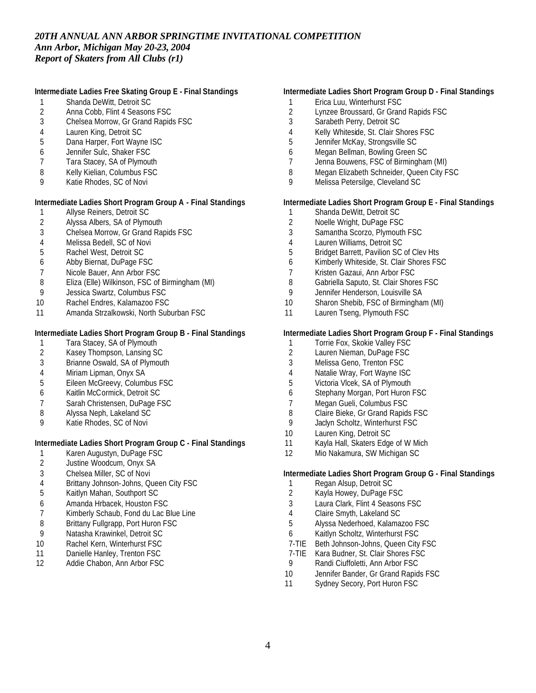# **Intermediate Ladies Free Skating Group E - Final Standings**

- Shanda DeWitt, Detroit SC
- 2 Anna Cobb, Flint 4 Seasons FSC<br>3 Chelsea Morrow, Gr Grand Rapid
- Chelsea Morrow, Gr Grand Rapids FSC
- Lauren King, Detroit SC
- Dana Harper, Fort Wayne ISC
- Jennifer Sulc, Shaker FSC
- Tara Stacey, SA of Plymouth
- Kelly Kielian, Columbus FSC
- Katie Rhodes, SC of Novi

# **Intermediate Ladies Short Program Group A - Final Standings**

- Allyse Reiners, Detroit SC
- Alyssa Albers, SA of Plymouth
- Chelsea Morrow, Gr Grand Rapids FSC
- Melissa Bedell, SC of Novi
- Rachel West, Detroit SC
- Abby Biernat, DuPage FSC
- Nicole Bauer, Ann Arbor FSC
- Eliza (Elle) Wilkinson, FSC of Birmingham (MI)
- Jessica Swartz, Columbus FSC
- Rachel Endres, Kalamazoo FSC
- Amanda Strzalkowski, North Suburban FSC

# **Intermediate Ladies Short Program Group B - Final Standings**

- 1 Tara Stacey, SA of Plymouth<br>2 Kasey Thompson, Lansing So
- 2 Kasey Thompson, Lansing SC<br>3 Brianne Oswald, SA of Plymou
- Brianne Oswald, SA of Plymouth
- 
- 4 Miriam Lipman, Onyx SA<br>5 Eileen McGreevv, Columl Eileen McGreevy, Columbus FSC
- Kaitlin McCormick, Detroit SC
- Sarah Christensen, DuPage FSC
- Alyssa Neph, Lakeland SC
- Katie Rhodes, SC of Novi

# **Intermediate Ladies Short Program Group C - Final Standings**

- Karen Augustyn, DuPage FSC
- Justine Woodcum, Onyx SA
- Chelsea Miller, SC of Novi
- Brittany Johnson- Johns, Queen City FSC
- Kaitlyn Mahan, Southport SC
- Amanda Hrbacek, Houston FSC
- Kimberly Schaub, Fond du Lac Blue Line
- 8 Brittany Fullgrapp, Port Huron FSC
- Natasha Krawinkel, Detroit SC
- Rachel Kern, Winterhurst FSC
- 11 Danielle Hanley, Trenton FSC
- Addie Chabon, Ann Arbor FSC

# **Intermediate Ladies Short Program Group D - Final Standings**

- Erica Luu, Winterhurst FSC
- 2 Lynzee Broussard, Gr Grand Rapids FSC<br>3 Sarabeth Perry, Detroit SC
- Sarabeth Perry, Detroit SC
- Kelly Whiteside, St. Clair Shores FSC
- Jennifer McKay, Strongsville SC
- Megan Bellman, Bowling Green SC
- Jenna Bouwens, FSC of Birmingham (MI)
- 8 Megan Elizabeth Schneider, Queen City FSC
- Melissa Petersilge, Cleveland SC

# **Intermediate Ladies Short Program Group E - Final Standings**

- Shanda DeWitt, Detroit SC
- Noelle Wright, DuPage FSC
- Samantha Scorzo, Plymouth FSC
- Lauren Williams, Detroit SC
- Bridget Barrett, Pavilion SC of Clev Hts
- Kimberly Whiteside, St. Clair Shores FSC
- Kristen Gazaui, Ann Arbor FSC
- Gabriella Saputo, St. Clair Shores FSC
- Jennifer Henderson, Louisville SA
- Sharon Shebib, FSC of Birmingham (MI)
- 11 Lauren Tseng, Plymouth FSC

#### **Intermediate Ladies Short Program Group F - Final Standings**

- 1 Torrie Fox, Skokie Valley FSC<br>2 Lauren Nieman. DuPage FSC
- Lauren Nieman, DuPage FSC
- Melissa Geno, Trenton FSC
- Natalie Wray, Fort Wayne ISC
- Victoria Vlcek, SA of Plymouth
- Stephany Morgan, Port Huron FSC
- Megan Gueli, Columbus FSC
- Claire Bieke, Gr Grand Rapids FSC
- Jaclyn Scholtz, Winterhurst FSC
- Lauren King, Detroit SC
- Kayla Hall, Skaters Edge of W Mich
- Mio Nakamura, SW Michigan SC

### **Intermediate Ladies Short Program Group G - Final Standings**

- 1 Regan Alsup, Detroit SC
- Kayla Howey, DuPage FSC
- Laura Clark, Flint 4 Seasons FSC
- Claire Smyth, Lakeland SC
- Alyssa Nederhoed, Kalamazoo FSC
- Kaitlyn Scholtz, Winterhurst FSC
- 7-TIE Beth Johnson-Johns, Queen City FSC
- 7-TIE Kara Budner, St. Clair Shores FSC
- Randi Ciuffoletti, Ann Arbor FSC
- Jennifer Bander, Gr Grand Rapids FSC
- 11 Sydney Secory, Port Huron FSC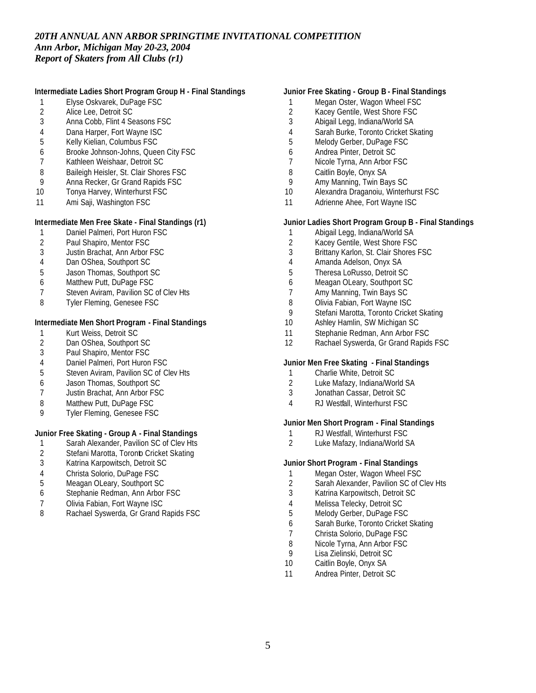# **Intermediate Ladies Short Program Group H - Final Standings**

- Elyse Oskvarek, DuPage FSC
- 2 Alice Lee, Detroit SC<br>3 Anna Cobb. Flint 4 Se
- Anna Cobb, Flint 4 Seasons FSC
- Dana Harper, Fort Wayne ISC
- Kelly Kielian, Columbus FSC
- Brooke Johnson-Johns, Queen City FSC
- Kathleen Weishaar, Detroit SC
- 8 Baileigh Heisler, St. Clair Shores FSC
- Anna Recker, Gr Grand Rapids FSC
- Tonya Harvey, Winterhurst FSC
- Ami Saji, Washington FSC

#### **Intermediate Men Free Skate - Final Standings (r1)**

- 1 Daniel Palmeri, Port Huron FSC<br>2 Paul Shapiro, Mentor FSC
- Paul Shapiro, Mentor FSC
- Justin Brachat, Ann Arbor FSC
- Dan OShea, Southport SC
- Jason Thomas, Southport SC
- Matthew Putt, DuPage FSC
- Steven Aviram, Pavilion SC of Clev Hts
- Tyler Fleming, Genesee FSC

# **Intermediate Men Short Program - Final Standings**

- 1 Kurt Weiss, Detroit SC<br>2 Dan OShea, Southport
- 2 Dan OShea, Southport SC<br>3 Paul Shapiro, Mentor FSC
- Paul Shapiro, Mentor FSC
- Daniel Palmeri, Port Huron FSC
- Steven Aviram, Pavilion SC of Clev Hts
- Jason Thomas, Southport SC
- Justin Brachat, Ann Arbor FSC
- Matthew Putt, DuPage FSC
- Tyler Fleming, Genesee FSC

### **Junior Free Skating - Group A - Final Standings**

- 1 Sarah Alexander, Pavilion SC of Clev Hts<br>2 Stefani Marotta, Toronb Cricket Skating
- 2 Stefani Marotta, Toronb Cricket Skating<br>3 Katrina Karpowitsch, Detroit SC
- Katrina Karpowitsch, Detroit SC
- Christa Solorio, DuPage FSC
- Meagan OLeary, Southport SC
- Stephanie Redman, Ann Arbor FSC
- Olivia Fabian, Fort Wayne ISC
- 8 Rachael Syswerda, Gr Grand Rapids FSC

# **Junior Free Skating - Group B - Final Standings**

- 1 Megan Oster, Wagon Wheel FSC
- 2 Kacey Gentile, West Shore FSC<br>3 Abigail Legg, Indiana/World SA
- Abigail Legg, Indiana/World SA
- Sarah Burke, Toronto Cricket Skating
- Melody Gerber, DuPage FSC
- Andrea Pinter, Detroit SC
- Nicole Tyrna, Ann Arbor FSC
- Caitlin Boyle, Onyx SA
- Amy Manning, Twin Bays SC
- Alexandra Draganoiu, Winterhurst FSC
- 11 Adrienne Ahee, Fort Wayne ISC

#### **Junior Ladies Short Program Group B - Final Standings**

- Abigail Legg, Indiana/World SA
- Kacey Gentile, West Shore FSC
- Brittany Karlon, St. Clair Shores FSC
- Amanda Adelson, Onyx SA
- Theresa LoRusso, Detroit SC
- Meagan OLeary, Southport SC
- Amy Manning, Twin Bays SC
- 8 Olivia Fabian, Fort Wayne ISC
- 9 Stefani Marotta, Toronto Cricket Skating<br>10 Ashlev Hamlin, SW Michigan SC
- Ashley Hamlin, SW Michigan SC
- Stephanie Redman, Ann Arbor FSC
- Rachael Syswerda, Gr Grand Rapids FSC

#### **Junior Men Free Skating - Final Standings**

- 1 Charlie White, Detroit SC<br>2 Luke Mafazy, Indiana/Wo
- Luke Mafazy, Indiana/World SA
- Jonathan Cassar, Detroit SC
- RJ Westfall, Winterhurst FSC

#### **Junior Men Short Program - Final Standings**

- 1 RJ Westfall, Winterhurst FSC<br>2 Luke Mafazy, Indiana/World S
- Luke Mafazy, Indiana/World SA

#### **Junior Short Program - Final Standings**

- 1 Megan Oster, Wagon Wheel FSC
- Sarah Alexander, Pavilion SC of Clev Hts
- Katrina Karpowitsch, Detroit SC
- Melissa Telecky, Detroit SC
- Melody Gerber, DuPage FSC
- Sarah Burke, Toronto Cricket Skating
- Christa Solorio, DuPage FSC
- 8 Nicole Tyrna, Ann Arbor FSC<br>9 Isa Zielinski, Detroit SC
- Lisa Zielinski, Detroit SC
- Caitlin Boyle, Onyx SA
- Andrea Pinter, Detroit SC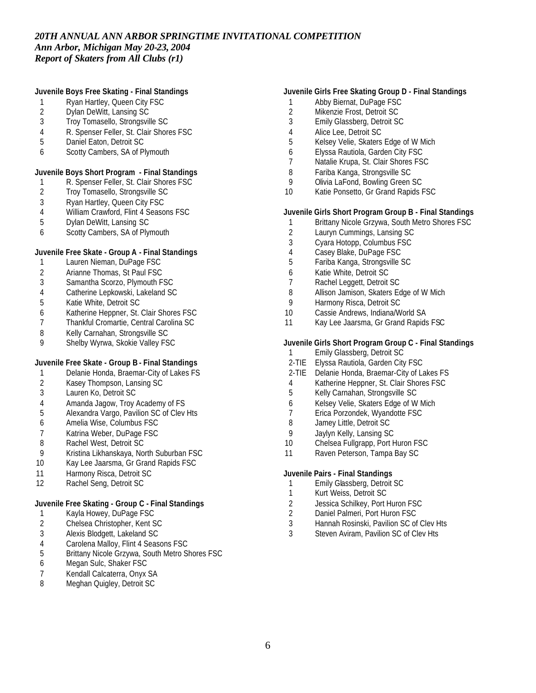# **Juvenile Boys Free Skating - Final Standings**

- 1 Ryan Hartley, Queen City FSC
- 2 Dylan DeWitt, Lansing SC<br>3 Trov Tomasello, Strongsvil
- Troy Tomasello, Strongsville SC
- R. Spenser Feller, St. Clair Shores FSC
- Daniel Eaton, Detroit SC
- Scotty Cambers, SA of Plymouth

# **Juvenile Boys Short Program - Final Standings**

- R. Spenser Feller, St. Clair Shores FSC
- Troy Tomasello, Strongsville SC
- Ryan Hartley, Queen City FSC
- William Crawford, Flint 4 Seasons FSC
- Dylan DeWitt, Lansing SC
- Scotty Cambers, SA of Plymouth

# **Juvenile Free Skate - Group A - Final Standings**

- Lauren Nieman, DuPage FSC
- Arianne Thomas, St Paul FSC
- Samantha Scorzo, Plymouth FSC
- Catherine Lepkowski, Lakeland SC
- Katie White, Detroit SC
- Katherine Heppner, St. Clair Shores FSC
- Thankful Cromartie, Central Carolina SC
- 8 Kelly Carnahan, Strongsville SC
- Shelby Wyrwa, Skokie Valley FSC

# **Juvenile Free Skate - Group B - Final Standings**

- 1 Delanie Honda, Braemar-City of Lakes FS<br>2 Kasey Thompson, Lansing SC
- 2 Kasey Thompson, Lansing SC<br>3 Lauren Ko. Detroit SC
- Lauren Ko, Detroit SC
- Amanda Jagow, Troy Academy of FS
- Alexandra Vargo, Pavilion SC of Clev Hts
- Amelia Wise, Columbus FSC
- 7 Katrina Weber, DuPage FSC<br>8 Rachel West, Detroit SC
- Rachel West, Detroit SC
- Kristina Likhanskaya, North Suburban FSC
- 10 Kay Lee Jaarsma, Gr Grand Rapids FSC
- 11 Harmony Risca, Detroit SC
- Rachel Seng, Detroit SC

# **Juvenile Free Skating - Group C - Final Standings**

- Kayla Howey, DuPage FSC
- Chelsea Christopher, Kent SC
- 3 Alexis Blodgett, Lakeland SC<br>4 Carolena Mallov, Flint 4 Seas
- 
- 4 Carolena Malloy, Flint 4 Seasons FSC<br>5 Brittany Nicole Grzywa, South Metro SI Brittany Nicole Grzywa, South Metro Shores FSC
- Megan Sulc, Shaker FSC
- 7 Kendall Calcaterra, Onyx SA<br>8 Meghan Quigley, Detroit SC
- Meghan Quigley, Detroit SC

# **Juvenile Girls Free Skating Group D - Final Standings**

- Abby Biernat, DuPage FSC
- 2 Mikenzie Frost, Detroit SC<br>3 Emily Glassberg, Detroit SQ
- Emily Glassberg, Detroit SC
- Alice Lee, Detroit SC
- Kelsey Velie, Skaters Edge of W Mich
- Elyssa Rautiola, Garden City FSC
- Natalie Krupa, St. Clair Shores FSC
- Fariba Kanga, Strongsville SC
- Olivia LaFond, Bowling Green SC
- Katie Ponsetto, Gr Grand Rapids FSC

### **Juvenile Girls Short Program Group B - Final Standings**

- Brittany Nicole Grzywa, South Metro Shores FSC
- Lauryn Cummings, Lansing SC
- Cyara Hotopp, Columbus FSC
- Casey Blake, DuPage FSC
- Fariba Kanga, Strongsville SC
- Katie White, Detroit SC
- Rachel Leggett, Detroit SC
- Allison Jamison, Skaters Edge of W Mich
- Harmony Risca, Detroit SC
- Cassie Andrews, Indiana/World SA
- 11 Kay Lee Jaarsma, Gr Grand Rapids FSC

# **Juvenile Girls Short Program Group C - Final Standings**

- Emily Glassberg, Detroit SC
- 2-TIE Elyssa Rautiola, Garden City FSC
- 2-TIE Delanie Honda, Braemar-City of Lakes FS
- Katherine Heppner, St. Clair Shores FSC
- Kelly Carnahan, Strongsville SC
- Kelsey Velie, Skaters Edge of W Mich
- Erica Porzondek, Wyandotte FSC
- Jamey Little, Detroit SC
- Jaylyn Kelly, Lansing SC
- Chelsea Fullgrapp, Port Huron FSC
- 11 Raven Peterson, Tampa Bay SC

# **Juvenile Pairs - Final Standings**

- Emily Glassberg, Detroit SC
- Kurt Weiss, Detroit SC
- Jessica Schilkey, Port Huron FSC
- Daniel Palmeri, Port Huron FSC
- Hannah Rosinski, Pavilion SC of Clev Hts
- Steven Aviram, Pavilion SC of Clev Hts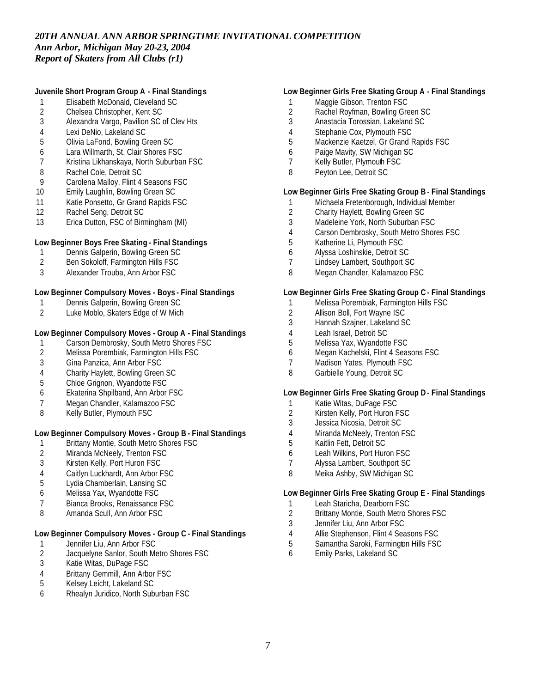# **Juvenile Short Program Group A - Final Standings**

- Elisabeth McDonald, Cleveland SC
- 2 Chelsea Christopher, Kent SC<br>3 Alexandra Vargo, Pavilion SC
- Alexandra Vargo, Pavilion SC of Clev Hts
- Lexi DeNio, Lakeland SC
- Olivia LaFond, Bowling Green SC
- Lara Willmarth, St. Clair Shores FSC
- Kristina Likhanskaya, North Suburban FSC
- Rachel Cole, Detroit SC
- Carolena Malloy, Flint 4 Seasons FSC
- Emily Laughlin, Bowling Green SC
- 11 Katie Ponsetto, Gr Grand Rapids FSC
- Rachel Seng, Detroit SC
- Erica Dutton, FSC of Birmingham (MI)

# **Low Beginner Boys Free Skating - Final Standings**

- 1 Dennis Galperin, Bowling Green SC
- Ben Sokoloff, Farmington Hills FSC
- Alexander Trouba, Ann Arbor FSC

# **Low Beginner Compulsory Moves - Boys - Final Standings**

- Dennis Galperin, Bowling Green SC
- Luke Moblo, Skaters Edge of W Mich

# **Low Beginner Compulsory Moves - Group A - Final Standings**

- 1 Carson Dembrosky, South Metro Shores FSC<br>2 Melissa Porembiak, Farmington Hills FSC
- 2 Melissa Porembiak, Farmington Hills FSC<br>3 Gina Panzica. Ann Arbor FSC
- Gina Panzica, Ann Arbor FSC
- 4 Charity Haylett, Bowling Green SC<br>5 Chloe Grignon, Wyandotte FSC
- Chloe Grignon, Wyandotte FSC
- Ekaterina Shpilband, Ann Arbor FSC
- Megan Chandler, Kalamazoo FSC
- Kelly Butler, Plymouth FSC

# **Low Beginner Compulsory Moves - Group B - Final Standings**

- 1 Brittany Montie, South Metro Shores FSC
- 2 Miranda McNeely, Trenton FSC<br>3 Kirsten Kelly, Port Huron FSC
- Kirsten Kelly, Port Huron FSC
- Caitlyn Luckhardt, Ann Arbor FSC
- Lydia Chamberlain, Lansing SC
- Melissa Yax, Wyandotte FSC
- Bianca Brooks, Renaissance FSC
- Amanda Scull, Ann Arbor FSC

# **Low Beginner Compulsory Moves - Group C - Final Standings**

- 1 Jennifer Liu, Ann Arbor FSC<br>2 Jacquelyne Sanlor, South Me
- 2 Jacquelyne Sanlor, South Metro Shores FSC<br>3 Katie Witas, DuPage FSC
- Katie Witas, DuPage FSC
- 4 Brittany Gemmill, Ann Arbor FSC<br>5 Kelsev Leicht, Lakeland SC
- Kelsey Leicht, Lakeland SC
- Rhealyn Juridico, North Suburban FSC

# **Low Beginner Girls Free Skating Group A - Final Standings**

- 1 Maggie Gibson, Trenton FSC
- 2 Rachel Royfman, Bowling Green SC<br>3 Anastacia Torossian, Lakeland SC
- Anastacia Torossian, Lakeland SC
- Stephanie Cox, Plymouth FSC
- Mackenzie Kaetzel, Gr Grand Rapids FSC
- Paige Mavity, SW Michigan SC
- Kelly Butler, Plymouth FSC
- Peyton Lee, Detroit SC

# **Low Beginner Girls Free Skating Group B - Final Standings**

- 1 Michaela Fretenborough, Individual Member<br>2 Charity Haylett. Bowling Green SC
- Charity Haylett, Bowling Green SC
- Madeleine York, North Suburban FSC
- Carson Dembrosky, South Metro Shores FSC
- Katherine Li, Plymouth FSC
- Alyssa Loshinskie, Detroit SC
- Lindsey Lambert, Southport SC
- Megan Chandler, Kalamazoo FSC

#### **Low Beginner Girls Free Skating Group C - Final Standings**

- Melissa Porembiak, Farmington Hills FSC
- 2 Allison Boll, Fort Wayne ISC<br>3 Hannah Szainer, Lakeland S
- Hannah Szajner, Lakeland SC
- Leah Israel, Detroit SC
- Melissa Yax, Wyandotte FSC
- Megan Kachelski, Flint 4 Seasons FSC
- Madison Yates, Plymouth FSC
- Garbielle Young, Detroit SC

# **Low Beginner Girls Free Skating Group D - Final Standings**

- Katie Witas, DuPage FSC
- Kirsten Kelly, Port Huron FSC
- Jessica Nicosia, Detroit SC
- Miranda McNeely, Trenton FSC
- Kaitlin Fett, Detroit SC
- Leah Wilkins, Port Huron FSC
- Alyssa Lambert, Southport SC
- Meika Ashby, SW Michigan SC

### **Low Beginner Girls Free Skating Group E - Final Standings**

- Leah Staricha, Dearborn FSC
- Brittany Montie, South Metro Shores FSC
- Jennifer Liu, Ann Arbor FSC
- Allie Stephenson, Flint 4 Seasons FSC
- 5 Samantha Saroki, Farmington Hills FSC
- Emily Parks, Lakeland SC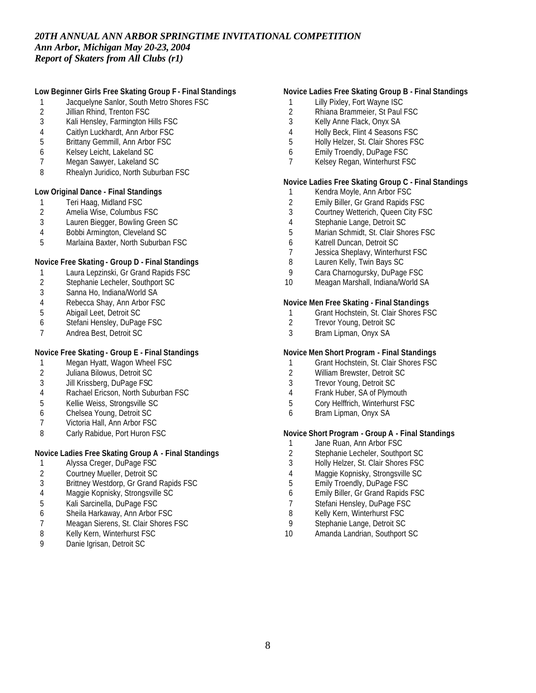# **Low Beginner Girls Free Skating Group F - Final Standings**

- 1 Jacquelyne Sanlor, South Metro Shores FSC<br>2 Jillian Rhind, Trenton FSC
- 2 Jillian Rhind, Trenton FSC<br>3 Kali Henslev, Farmington H
- Kali Hensley, Farmington Hills FSC
- Caitlyn Luckhardt, Ann Arbor FSC
- Brittany Gemmill, Ann Arbor FSC
- Kelsey Leicht, Lakeland SC
- Megan Sawyer, Lakeland SC
- Rhealyn Juridico, North Suburban FSC

#### **Low Original Dance - Final Standings**

- 1 Teri Haag, Midland FSC<br>2 Amelia Wise, Columbus
- 2 Amelia Wise, Columbus FSC<br>3 Lauren Biegger, Bowling Gree
- Lauren Biegger, Bowling Green SC
- Bobbi Armington, Cleveland SC
- Marlaina Baxter, North Suburban FSC

# **Novice Free Skating - Group D - Final Standings**

- Laura Lepzinski, Gr Grand Rapids FSC
- Stephanie Lecheler, Southport SC
- Sanna Ho, Indiana/World SA
- 4 Rebecca Shay, Ann Arbor FSC<br>5 Abigail Leet, Detroit SC
- Abigail Leet, Detroit SC
- Stefani Hensley, DuPage FSC
- Andrea Best, Detroit SC

# **Novice Free Skating - Group E - Final Standings**

- 1 Megan Hyatt, Wagon Wheel FSC
- 2 Juliana Bilowus, Detroit SC<br>3 Jill Krissberg, DuPage FSC
- Jill Krissberg, DuPage FSC
- Rachael Ericson, North Suburban FSC
- Kellie Weiss, Strongsville SC
- Chelsea Young, Detroit SC
- Victoria Hall, Ann Arbor FSC
- 8 Carly Rabidue, Port Huron FSC

# **Novice Ladies Free Skating Group A - Final Standings**

- Alyssa Creger, DuPage FSC
- Courtney Mueller, Detroit SC
- Brittney Westdorp, Gr Grand Rapids FSC
- Maggie Kopnisky, Strongsville SC
- Kali Sarcinella, DuPage FSC
- Sheila Harkaway, Ann Arbor FSC
- Meagan Sierens, St. Clair Shores FSC
- Kelly Kern, Winterhurst FSC
- Danie Igrisan, Detroit SC

# **Novice Ladies Free Skating Group B - Final Standings**

- 1 Lilly Pixley, Fort Wayne ISC
- 2 Rhiana Brammeier, St Paul FSC<br>3 Kelly Anne Flack. Onvx SA
- Kelly Anne Flack, Onyx SA
- Holly Beck, Flint 4 Seasons FSC
- Holly Helzer, St. Clair Shores FSC
- Emily Troendly, DuPage FSC
- Kelsey Regan, Winterhurst FSC

# **Novice Ladies Free Skating Group C - Final Standings**

- Kendra Moyle, Ann Arbor FSC
- 2 Emily Biller, Gr Grand Rapids FSC<br>3 Courtney Wetterich, Queen City FS
- Courtney Wetterich, Queen City FSC
- Stephanie Lange, Detroit SC
- Marian Schmidt, St. Clair Shores FSC
- Katrell Duncan, Detroit SC
- Jessica Sheplavy, Winterhurst FSC
- Lauren Kelly, Twin Bays SC
- Cara Charnogursky, DuPage FSC
- Meagan Marshall, Indiana/World SA

# **Novice Men Free Skating - Final Standings**

- 1 Grant Hochstein, St. Clair Shores FSC<br>2 Trevor Young, Detroit SC
- Trevor Young, Detroit SC
- Bram Lipman, Onyx SA

# **Novice Men Short Program - Final Standings**

- Grant Hochstein, St. Clair Shores FSC
- William Brewster, Detroit SC
- Trevor Young, Detroit SC
- Frank Huber, SA of Plymouth
- Cory Helffrich, Winterhurst FSC
- Bram Lipman, Onyx SA

#### **Novice Short Program - Group A - Final Standings**

- 1 Jane Ruan, Ann Arbor FSC<br>2 Stephanie Lecheler, Southp
- Stephanie Lecheler, Southport SC
- Holly Helzer, St. Clair Shores FSC
- Maggie Kopnisky, Strongsville SC
- Emily Troendly, DuPage FSC
- Emily Biller, Gr Grand Rapids FSC
- Stefani Hensley, DuPage FSC
- Kelly Kern, Winterhurst FSC
- Stephanie Lange, Detroit SC
- Amanda Landrian, Southport SC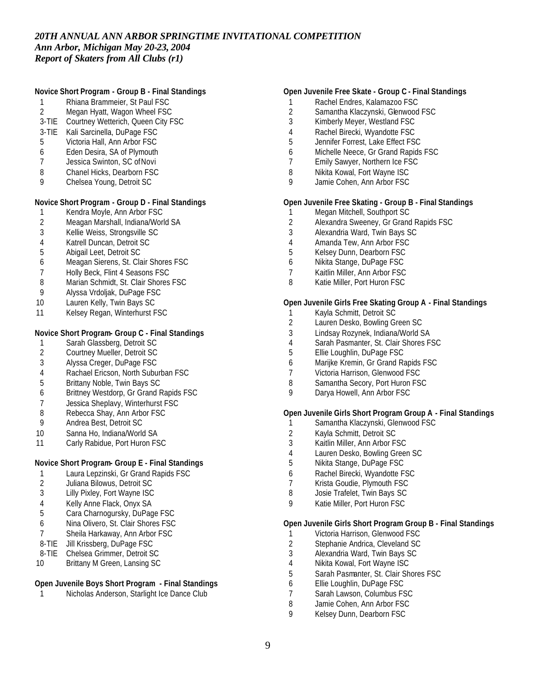# **Novice Short Program - Group B - Final Standings**

- Rhiana Brammeier, St Paul FSC
- Megan Hyatt, Wagon Wheel FSC
- 3-TIE Courtney Wetterich, Queen City FSC
- 3-TIE Kali Sarcinella, DuPage FSC
- Victoria Hall, Ann Arbor FSC
- Eden Desira, SA of Plymouth
- Jessica Swinton, SC of Novi
- Chanel Hicks, Dearborn FSC
- Chelsea Young, Detroit SC

# **Novice Short Program - Group D - Final Standings**

- Kendra Moyle, Ann Arbor FSC
- Meagan Marshall, Indiana/World SA
- Kellie Weiss, Strongsville SC
- Katrell Duncan, Detroit SC
- Abigail Leet, Detroit SC
- Meagan Sierens, St. Clair Shores FSC
- Holly Beck, Flint 4 Seasons FSC
- 8 Marian Schmidt, St. Clair Shores FSC
- Alyssa Vrdoljak, DuPage FSC
- Lauren Kelly, Twin Bays SC
- Kelsey Regan, Winterhurst FSC

#### **Novice Short Program- Group C - Final Standings**

- 1 Sarah Glassberg, Detroit SC<br>2 Courtney Mueller, Detroit SC
- 2 Courtney Mueller, Detroit SC<br>3 Alvssa Creger, DuPage FSC
- Alyssa Creger, DuPage FSC
- 4 Rachael Ericson, North Suburban FSC<br>5 Brittany Noble, Twin Bays SC
- Brittany Noble, Twin Bays SC
- Brittney Westdorp, Gr Grand Rapids FSC
- Jessica Sheplavy, Winterhurst FSC
- Rebecca Shay, Ann Arbor FSC
- Andrea Best, Detroit SC
- Sanna Ho, Indiana/World SA
- 11 Carly Rabidue, Port Huron FSC

# **Novice Short Program- Group E - Final Standings**

- Laura Lepzinski, Gr Grand Rapids FSC
- Juliana Bilowus, Detroit SC
- Lilly Pixley, Fort Wayne ISC
- Kelly Anne Flack, Onyx SA
- Cara Charnogursky, DuPage FSC
- Nina Olivero, St. Clair Shores FSC
- Sheila Harkaway, Ann Arbor FSC
- 8-TIE Jill Krissberg, DuPage FSC
- 8-TIE Chelsea Grimmer, Detroit SC
- 10 Brittany M Green, Lansing SC

#### **Open Juvenile Boys Short Program - Final Standings**

Nicholas Anderson, Starlight Ice Dance Club

# **Open Juvenile Free Skate - Group C - Final Standings**

- Rachel Endres, Kalamazoo FSC
- 2 Samantha Klaczynski, Glenwood FSC<br>3 Kimberly Mever. Westland FSC
- Kimberly Meyer, Westland FSC
- Rachel Birecki, Wyandotte FSC
- Jennifer Forrest, Lake Effect FSC
- Michelle Neece, Gr Grand Rapids FSC
- Emily Sawyer, Northern Ice FSC
- Nikita Kowal, Fort Wayne ISC
- Jamie Cohen, Ann Arbor FSC

#### **Open Juvenile Free Skating - Group B - Final Standings**

- Megan Mitchell, Southport SC
- Alexandra Sweeney, Gr Grand Rapids FSC
- Alexandria Ward, Twin Bays SC
- Amanda Tew, Ann Arbor FSC
- Kelsey Dunn, Dearborn FSC
- Nikita Stange, DuPage FSC
- Kaitlin Miller, Ann Arbor FSC
- 8 Katie Miller, Port Huron FSC

#### **Open Juvenile Girls Free Skating Group A - Final Standings**

- 1 Kayla Schmitt, Detroit SC<br>2 Lauren Desko, Bowling Gr
- Lauren Desko, Bowling Green SC
- Lindsay Rozynek, Indiana/World SA
- Sarah Pasmanter, St. Clair Shores FSC
- Ellie Loughlin, DuPage FSC
- Marijke Kremin, Gr Grand Rapids FSC
- Victoria Harrison, Glenwood FSC
- 8 Samantha Secory, Port Huron FSC
- Darya Howell, Ann Arbor FSC

# **Open Juvenile Girls Short Program Group A - Final Standings**

- Samantha Klaczynski, Glenwood FSC
- 2 Kayla Schmitt, Detroit SC<br>3 Kaitlin Miller, Ann Arbor F
- Kaitlin Miller, Ann Arbor FSC
- Lauren Desko, Bowling Green SC
- Nikita Stange, DuPage FSC
- Rachel Birecki, Wyandotte FSC
- Krista Goudie, Plymouth FSC
- Josie Trafelet, Twin Bays SC
- Katie Miller, Port Huron FSC

# **Open Juvenile Girls Short Program Group B - Final Standings**

- Victoria Harrison, Glenwood FSC
- Stephanie Andrica, Cleveland SC
- Alexandria Ward, Twin Bays SC
- Nikita Kowal, Fort Wayne ISC
- Sarah Pasmanter, St. Clair Shores FSC
- Ellie Loughlin, DuPage FSC
- Sarah Lawson, Columbus FSC
- 8 Jamie Cohen, Ann Arbor FSC<br>9 Kelsey Dunn, Dearborn FSC
- Kelsey Dunn, Dearborn FSC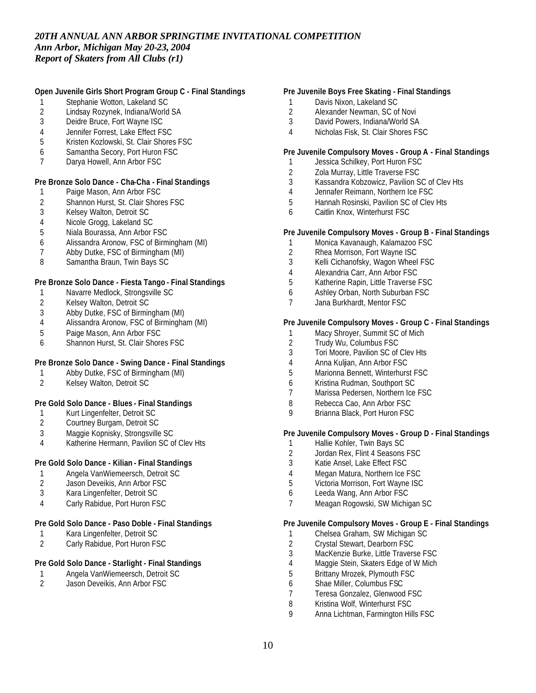# **Open Juvenile Girls Short Program Group C - Final Standings**

- 1 Stephanie Wotton, Lakeland SC<br>2 Lindsay Rozynek, Indiana/World
- 2 Lindsay Rozynek, Indiana/World SA<br>3 Deidre Bruce, Fort Wavne ISC
- Deidre Bruce, Fort Wayne ISC
- 4 Jennifer Forrest, Lake Effect FSC
- 5 Kristen Kozlowski, St. Clair Shores FSC
- 6 Samantha Secory, Port Huron FSC
- 7 Darya Howell, Ann Arbor FSC

# **Pre Bronze Solo Dance - Cha-Cha - Final Standings**

- 1 Paige Mason, Ann Arbor FSC
- 2 Shannon Hurst, St. Clair Shores FSC<br>3 Kelsey Walton, Detroit SC
- 3 Kelsey Walton, Detroit SC
- 4 Nicole Grogg, Lakeland SC
- 5 Niala Bourassa, Ann Arbor FSC
- 6 Alissandra Aronow, FSC of Birmingham (MI)
- 7 Abby Dutke, FSC of Birmingham (MI)
- 8 Samantha Braun, Twin Bays SC

### **Pre Bronze Solo Dance - Fiesta Tango - Final Standings**

- 1 Navarre Medlock, Strongsville SC
- 2 Kelsey Walton, Detroit SC<br>3 Abby Dutke, FSC of Birmir
- 3 Abby Dutke, FSC of Birmingham (MI)<br>4 Alissandra Aronow. FSC of Birmingha
- 4 Alissandra Aronow, FSC of Birmingham (MI)
- 5 Paige Mason, Ann Arbor FSC
- 6 Shannon Hurst, St. Clair Shores FSC

# **Pre Bronze Solo Dance - Swing Dance - Final Standings**

- 1 Abby Dutke, FSC of Birmingham (MI)<br>2 Kelsev Walton, Detroit SC
- 2 Kelsey Walton, Detroit SC

# **Pre Gold Solo Dance - Blues - Final Standings**

- 1 Kurt Lingenfelter, Detroit SC
- 2 Courtney Burgam, Detroit SC
- 3 Maggie Kopnisky, Strongsville SC
- 4 Katherine Hermann, Pavilion SC of Clev Hts

# **Pre Gold Solo Dance - Kilian - Final Standings**

- 1 Angela VanWiemeersch, Detroit SC
- 2 Jason Deveikis, Ann Arbor FSC
- 3 Kara Lingenfelter, Detroit SC
- 4 Carly Rabidue, Port Huron FSC

#### **Pre Gold Solo Dance - Paso Doble - Final Standings**

- 1 Kara Lingenfelter, Detroit SC<br>2 Carly Rabidue, Port Huron FS
- Carly Rabidue, Port Huron FSC

# **Pre Gold Solo Dance - Starlight - Final Standings**

- 1 Angela VanWiemeersch, Detroit SC<br>2 Jason Deveikis, Ann Arbor FSC
- Jason Deveikis, Ann Arbor FSC

# **Pre Juvenile Boys Free Skating - Final Standings**

- 1 Davis Nixon, Lakeland SC
- 2 Alexander Newman, SC of Novi<br>3 David Powers, Indiana/World SA
- David Powers, Indiana/World SA
- 4 Nicholas Fisk, St. Clair Shores FSC

# **Pre Juvenile Compulsory Moves - Group A - Final Standings**

- 1 Jessica Schilkey, Port Huron FSC
- 2 Zola Murray, Little Traverse FSC
- 3 Kassandra Kobzowicz, Pavilion SC of Clev Hts
- 4 Jennafer Reimann, Northern Ice FSC
- 5 Hannah Rosinski, Pavilion SC of Clev Hts
- 6 Caitlin Knox, Winterhurst FSC

#### **Pre Juvenile Compulsory Moves - Group B - Final Standings**

- 1 Monica Kavanaugh, Kalamazoo FSC
- 2 Rhea Morrison, Fort Wayne ISC
- 3 Kelli Cichanofsky, Wagon Wheel FSC
- 4 Alexandria Carr, Ann Arbor FSC
- 5 Katherine Rapin, Little Traverse FSC
- 6 Ashley Orban, North Suburban FSC
- 7 Jana Burkhardt, Mentor FSC

# **Pre Juvenile Compulsory Moves - Group C - Final Standings**

- 1 Macy Shroyer, Summit SC of Mich<br>2 Trudy Wu. Columbus FSC
- 2 Trudy Wu, Columbus FSC<br>3 Tori Moore, Pavilion SC of
- Tori Moore, Pavilion SC of Clev Hts
- 4 Anna Kuljian, Ann Arbor FSC
- 5 Marionna Bennett, Winterhurst FSC
- 6 Kristina Rudman, Southport SC
- 7 Marissa Pedersen, Northern Ice FSC
- 8 Rebecca Cao, Ann Arbor FSC
- 9 Brianna Black, Port Huron FSC

# **Pre Juvenile Compulsory Moves - Group D - Final Standings**

- 1 Hallie Kohler, Twin Bays SC<br>2 Jordan Rex. Flint 4 Seasons
- Jordan Rex, Flint 4 Seasons FSC
- 3 Katie Ansel, Lake Effect FSC
- 4 Megan Matura, Northern Ice FSC
- 5 Victoria Morrison, Fort Wayne ISC
- 6 Leeda Wang, Ann Arbor FSC
- 7 Meagan Rogowski, SW Michigan SC

# **Pre Juvenile Compulsory Moves - Group E - Final Standings**

- 1 Chelsea Graham, SW Michigan SC
- 2 Crystal Stewart, Dearborn FSC<br>3 MacKenzie Burke, Little Travers
- MacKenzie Burke, Little Traverse FSC
- 4 Maggie Stein, Skaters Edge of W Mich
- 5 Brittany Mrozek, Plymouth FSC
- 6 Shae Miller, Columbus FSC
- 7 Teresa Gonzalez, Glenwood FSC
- 8 Kristina Wolf, Winterhurst FSC<br>9 Anna Lichtman Farmington Hil
- 9 Anna Lichtman, Farmington Hills FSC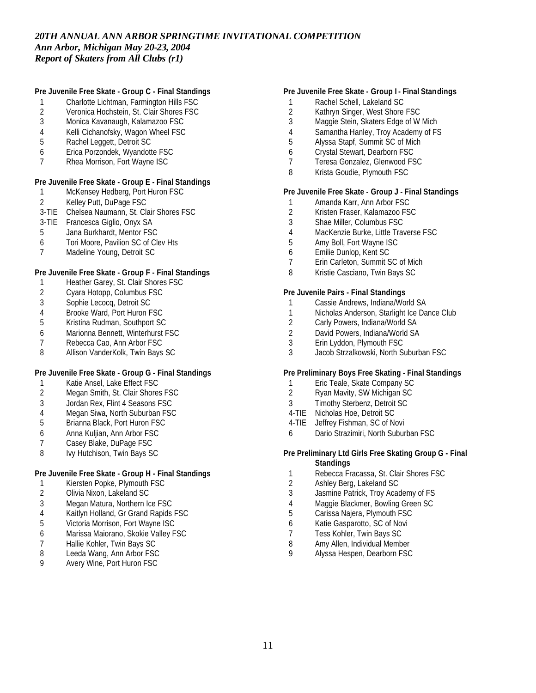# **Pre Juvenile Free Skate - Group C - Final Standings**

- 1 Charlotte Lichtman, Farmington Hills FSC
- 2 Veronica Hochstein, St. Clair Shores FSC<br>3 Monica Kavanaugh. Kalamazoo FSC
- 3 Monica Kavanaugh, Kalamazoo FSC
- 4 Kelli Cichanofsky, Wagon Wheel FSC
- 5 Rachel Leggett, Detroit SC
- 6 Erica Porzondek, Wyandotte FSC
- 7 Rhea Morrison, Fort Wayne ISC

# **Pre Juvenile Free Skate - Group E - Final Standings**

- 1 McKensey Hedberg, Port Huron FSC
- 2 Kelley Putt, DuPage FSC
- 3-TIE Chelsea Naumann, St. Clair Shores FSC
- 3-TIE Francesca Giglio, Onyx SA
- 5 Jana Burkhardt, Mentor FSC
- 6 Tori Moore, Pavilion SC of Clev Hts
- 7 Madeline Young, Detroit SC

# **Pre Juvenile Free Skate - Group F - Final Standings**

- 1 Heather Garey, St. Clair Shores FSC
- 2 Cyara Hotopp, Columbus FSC
- 3 Sophie Lecocq, Detroit SC<br>4 Brooke Ward, Port Huron F
- 4 Brooke Ward, Port Huron FSC<br>5 Kristina Rudman, Southport SC
- 5 Kristina Rudman, Southport SC
- 6 Marionna Bennett, Winterhurst FSC
- 7 Rebecca Cao, Ann Arbor FSC<br>8 Allison VanderKolk. Twin Bavs
- Allison VanderKolk, Twin Bays SC

# **Pre Juvenile Free Skate - Group G - Final Standings**

- 1 Katie Ansel, Lake Effect FSC<br>2 Megan Smith. St. Clair Shore
- Megan Smith, St. Clair Shores FSC
- 3 Jordan Rex, Flint 4 Seasons FSC
- 4 Megan Siwa, North Suburban FSC
- 5 Brianna Black, Port Huron FSC
- 6 Anna Kuljian, Ann Arbor FSC
- Casey Blake, DuPage FSC
- 8 Ivy Hutchison, Twin Bays SC

# **Pre Juvenile Free Skate - Group H - Final Standings**

- 1 Kiersten Popke, Plymouth FSC
- 2 Olivia Nixon, Lakeland SC
- 3 Megan Matura, Northern Ice FSC
- 4 Kaitlyn Holland, Gr Grand Rapids FSC
- 5 Victoria Morrison, Fort Wayne ISC
- 6 Marissa Maiorano, Skokie Valley FSC
- 7 Hallie Kohler, Twin Bays SC<br>8 Leeda Wang, Ann Arbor FSC
- 8 Leeda Wang, Ann Arbor FSC<br>9 Avery Wine, Port Huron FSC
- Avery Wine, Port Huron FSC

# **Pre Juvenile Free Skate - Group I - Final Standings**

- 1 Rachel Schell, Lakeland SC
- 2 Kathryn Singer, West Shore FSC<br>3 Maggie Stein, Skaters Edge of W
- Maggie Stein, Skaters Edge of W Mich
- 4 Samantha Hanley, Troy Academy of FS
- 5 Alyssa Stapf, Summit SC of Mich
- 6 Crystal Stewart, Dearborn FSC
- 7 Teresa Gonzalez, Glenwood FSC
- 8 Krista Goudie, Plymouth FSC

# **Pre Juvenile Free Skate - Group J - Final Standings**

- 1 Amanda Karr, Ann Arbor FSC<br>2 Kristen Fraser, Kalamazoo FS
- 2 Kristen Fraser, Kalamazoo FSC
- 3 Shae Miller, Columbus FSC
- 4 MacKenzie Burke, Little Traverse FSC<br>5 Amy Boll, Fort Wavne ISC
- 5 Amy Boll, Fort Wayne ISC
- 6 Emilie Dunlop, Kent SC
- 7 Erin Carleton, Summit SC of Mich
- 8 Kristie Casciano, Twin Bays SC

#### **Pre Juvenile Pairs - Final Standings**

- 1 Cassie Andrews, Indiana/World SA
- 1 Nicholas Anderson, Starlight Ice Dance Club<br>2 Carly Powers. Indiana/World SA
- 2 Carly Powers, Indiana/World SA
- 2 David Powers, Indiana/World SA
- 3 Erin Lyddon, Plymouth FSC
- 3 Jacob Strzalkowski, North Suburban FSC

# **Pre Preliminary Boys Free Skating - Final Standings**

- 1 Eric Teale, Skate Company SC<br>2 Ryan Mavity, SW Michigan SC
- 2 Ryan Mavity, SW Michigan SC
- 3 Timothy Sterbenz, Detroit SC
- 4-TIE Nicholas Hoe, Detroit SC
- 4-TIE Jeffrey Fishman, SC of Novi
- 6 Dario Strazimiri, North Suburban FSC

#### **Pre Preliminary Ltd Girls Free Skating Group G - Final Standings**

- 1 Rebecca Fracassa, St. Clair Shores FSC
- 2 Ashley Berg, Lakeland SC
- 3 Jasmine Patrick, Troy Academy of FS
- 4 Maggie Blackmer, Bowling Green SC
- 5 Carissa Najera, Plymouth FSC
- 6 Katie Gasparotto, SC of Novi
- 7 Tess Kohler, Twin Bays SC
- 8 Amy Allen, Individual Member<br>9 Alyssa Hespen, Dearborn ESC
- Alyssa Hespen, Dearborn FSC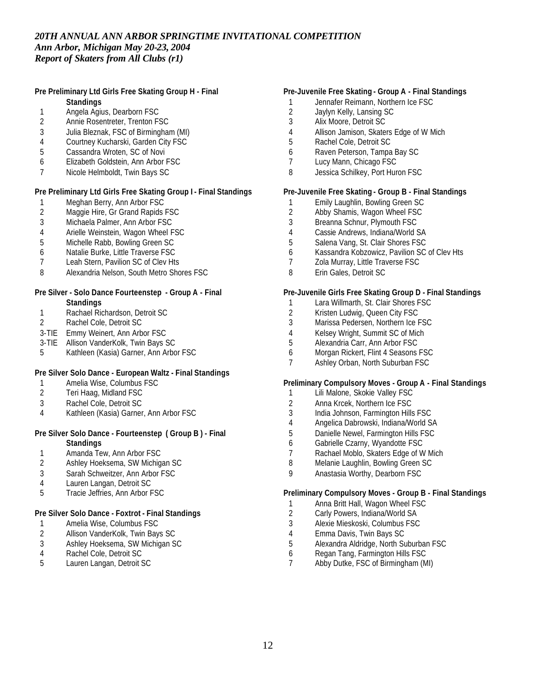#### **Pre Preliminary Ltd Girls Free Skating Group H - Final Standings**

- 
- 1 Angela Agius, Dearborn FSC<br>2 Annie Rosentreter, Trenton FS 2 Annie Rosentreter, Trenton FSC
- 3 Julia Bleznak, FSC of Birmingham (MI)
- 
- 4 Courtney Kucharski, Garden City FSC<br>5 Cassandra Wroten, SC of Novi Cassandra Wroten, SC of Novi
- 6 Elizabeth Goldstein, Ann Arbor FSC
- 7 Nicole Helmboldt, Twin Bays SC

# **Pre Preliminary Ltd Girls Free Skating Group I - Final Standings**

- 1 Meghan Berry, Ann Arbor FSC<br>2 Maggie Hire, Gr Grand Rapids
- Maggie Hire, Gr Grand Rapids FSC
- 3 Michaela Palmer, Ann Arbor FSC
- 4 Arielle Weinstein, Wagon Wheel FSC<br>5 Michelle Rabb. Bowling Green SC
- Michelle Rabb, Bowling Green SC
- 6 Natalie Burke, Little Traverse FSC
- 7 Leah Stern, Pavilion SC of Clev Hts
- 8 Alexandria Nelson, South Metro Shores FSC

#### **Pre Silver - Solo Dance Fourteenstep - Group A - Final Standings**

- 1 Rachael Richardson, Detroit SC<br>2 Rachel Cole, Detroit SC
- 2 Rachel Cole, Detroit SC
- 3-TIE Emmy Weinert, Ann Arbor FSC
- 3-TIE Allison VanderKolk, Twin Bays SC
- 5 Kathleen (Kasia) Garner, Ann Arbor FSC

# **Pre Silver Solo Dance - European Waltz - Final Standings**

- 1 Amelia Wise, Columbus FSC<br>2 Teri Haag, Midland FSC
- 2 Teri Haag, Midland FSC
- 3 Rachel Cole, Detroit SC
- 4 Kathleen (Kasia) Garner, Ann Arbor FSC

#### **Pre Silver Solo Dance - Fourteenstep ( Group B ) - Final Standings**

- 1 Amanda Tew, Ann Arbor FSC<br>2 Ashlev Hoeksema, SW Michig
- 2 Ashley Hoeksema, SW Michigan SC
- 3 Sarah Schweitzer, Ann Arbor FSC
- 4 Lauren Langan, Detroit SC
- 5 Tracie Jeffries, Ann Arbor FSC

# **Pre Silver Solo Dance - Foxtrot - Final Standings**

- 1 Amelia Wise, Columbus FSC
- 2 Allison VanderKolk, Twin Bays SC<br>3 Ashlev Hoeksema. SW Michigan S
- 3 Ashley Hoeksema, SW Michigan SC<br>4 Rachel Cole. Detroit SC
- 4 Rachel Cole, Detroit SC<br>5 Lauren Langan, Detroit S
- Lauren Langan, Detroit SC

# **Pre-Juvenile Free Skating - Group A - Final Standings**

- 1 Jennafer Reimann, Northern Ice FSC
- 2 Jaylyn Kelly, Lansing SC<br>3 Alix Moore, Detroit SC
- 3 Alix Moore, Detroit SC
- 4 Allison Jamison, Skaters Edge of W Mich
- 5 Rachel Cole, Detroit SC
- 6 Raven Peterson, Tampa Bay SC
- 7 Lucy Mann, Chicago FSC
- 8 Jessica Schilkey, Port Huron FSC

# **Pre-Juvenile Free Skating - Group B - Final Standings**

- 1 Emily Laughlin, Bowling Green SC<br>2 Abby Shamis, Wagon Wheel FSC
- Abby Shamis, Wagon Wheel FSC
- 3 Breanna Schnur, Plymouth FSC
- 4 Cassie Andrews, Indiana/World SA
- 5 Salena Vang, St. Clair Shores FSC
- 6 Kassandra Kobzowicz, Pavilion SC of Clev Hts
- 7 Zola Murray, Little Traverse FSC
- 8 Erin Gales, Detroit SC

# **Pre-Juvenile Girls Free Skating Group D - Final Standings**

- 1 Lara Willmarth, St. Clair Shores FSC
- 2 Kristen Ludwig, Queen City FSC<br>3 Marissa Pedersen, Northern Ice I
- Marissa Pedersen, Northern Ice FSC
- 4 Kelsey Wright, Summit SC of Mich
- 5 Alexandria Carr, Ann Arbor FSC
- 6 Morgan Rickert, Flint 4 Seasons FSC
- 7 Ashley Orban, North Suburban FSC

# **Preliminary Compulsory Moves - Group A - Final Standings**

- 1 Lili Malone, Skokie Valley FSC
- 2 Anna Krcek, Northern Ice FSC
- 3 India Johnson, Farmington Hills FSC
- 4 Angelica Dabrowski, Indiana/World SA
- 5 Danielle Newel, Farmington Hills FSC
- 6 Gabrielle Czarny, Wyandotte FSC
- 7 Rachael Moblo, Skaters Edge of W Mich
- 8 Melanie Laughlin, Bowling Green SC
- 9 Anastasia Worthy, Dearborn FSC

# **Preliminary Compulsory Moves - Group B - Final Standings**

- 1 Anna Britt Hall, Wagon Wheel FSC
- 2 Carly Powers, Indiana/World SA
- 3 Alexie Mieskoski, Columbus FSC
- 4 Emma Davis, Twin Bays SC
- 5 Alexandra Aldridge, North Suburban FSC
- 6 Regan Tang, Farmington Hills FSC
- 7 Abby Dutke, FSC of Birmingham (MI)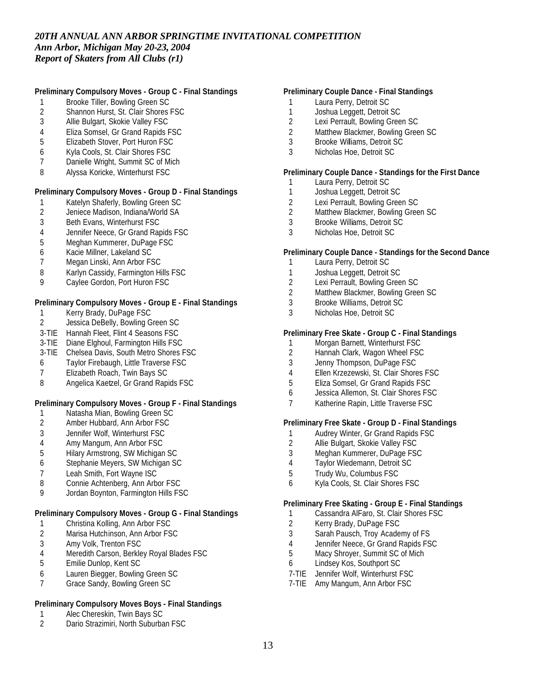# **Preliminary Compulsory Moves - Group C - Final Standings**

- 1 Brooke Tiller, Bowling Green SC<br>2 Shannon Hurst, St. Clair Shores
- 2 Shannon Hurst, St. Clair Shores FSC<br>3 Allie Bulgart, Skokie Vallev FSC
- Allie Bulgart, Skokie Valley FSC
- 4 Eliza Somsel, Gr Grand Rapids FSC
- 5 Elizabeth Stover, Port Huron FSC
- 6 Kyla Cools, St. Clair Shores FSC
- 7 Danielle Wright, Summit SC of Mich
- 8 Alyssa Koricke, Winterhurst FSC

# **Preliminary Compulsory Moves - Group D - Final Standings**

- 1 Katelyn Shaferly, Bowling Green SC<br>2 Jeniece Madison, Indiana/World SA
- 2 Jeniece Madison, Indiana/World SA<br>3 Beth Evans, Winterhurst FSC
- Beth Evans, Winterhurst FSC
- 4 Jennifer Neece, Gr Grand Rapids FSC
- 5 Meghan Kummerer, DuPage FSC
- 6 Kacie Millner, Lakeland SC
- 7 Megan Linski, Ann Arbor FSC
- 8 Karlyn Cassidy, Farmington Hills FSC
- 9 Caylee Gordon, Port Huron FSC

#### **Preliminary Compulsory Moves - Group E - Final Standings**

- 1 Kerry Brady, DuPage FSC<br>2 Jessica DeBelly, Bowling G
- Jessica DeBelly, Bowling Green SC
- 3-TIE Hannah Fleet, Flint 4 Seasons FSC
- 3-TIE Diane Elghoul, Farmington Hills FSC
- 3-TIE Chelsea Davis, South Metro Shores FSC
- 6 Taylor Firebaugh, Little Traverse FSC
- 7 Elizabeth Roach, Twin Bays SC
- 8 Angelica Kaetzel, Gr Grand Rapids FSC

# **Preliminary Compulsory Moves - Group F - Final Standings**

- 1 Natasha Mian, Bowling Green SC
- 2 Amber Hubbard, Ann Arbor FSC
- 3 Jennifer Wolf, Winterhurst FSC
- 4 Amy Mangum, Ann Arbor FSC
- 5 Hilary Armstrong, SW Michigan SC
- 6 Stephanie Meyers, SW Michigan SC
- 7 Leah Smith, Fort Wayne ISC
- 8 Connie Achtenberg, Ann Arbor FSC
- 9 Jordan Boynton, Farmington Hills FSC

# **Preliminary Compulsory Moves - Group G - Final Standings**

- 1 Christina Kolling, Ann Arbor FSC
- 2 Marisa Hutchinson, Ann Arbor FSC
- 3 Amy Volk, Trenton FSC<br>4 Meredith Carson, Berkle
- 4 Meredith Carson, Berkley Royal Blades FSC<br>5 Emilie Dunlop, Kent SC
- 5 Emilie Dunlop, Kent SC
- 6 Lauren Biegger, Bowling Green SC
- 7 Grace Sandy, Bowling Green SC

# **Preliminary Compulsory Moves Boys - Final Standings**

- 1 Alec Chereskin, Twin Bays SC<br>2 Dario Strazimiri, North Suburba
- Dario Strazimiri, North Suburban FSC

# **Preliminary Couple Dance - Final Standings**

- 1 Laura Perry, Detroit SC
- 1 Joshua Leggett, Detroit SC<br>2 Lexi Perrault, Bowling Gree
- Lexi Perrault, Bowling Green SC
- 2 Matthew Blackmer, Bowling Green SC
- 3 Brooke Williams, Detroit SC
- 3 Nicholas Hoe, Detroit SC

#### **Preliminary Couple Dance - Standings for the First Dance**

- 1 Laura Perry, Detroit SC
- 1 Joshua Leggett, Detroit SC
- 2 Lexi Perrault, Bowling Green SC<br>2 Matthew Blackmer, Bowling Gree
- Matthew Blackmer, Bowling Green SC
- 3 Brooke Williams, Detroit SC
- 3 Nicholas Hoe, Detroit SC

#### **Preliminary Couple Dance - Standings for the Second Dance**

- 1 Laura Perry, Detroit SC
- 1 Joshua Leggett, Detroit SC
- 2 Lexi Perrault, Bowling Green SC
- 2 Matthew Blackmer, Bowling Green SC
- 3 Brooke Williams, Detroit SC
- 3 Nicholas Hoe, Detroit SC

#### **Preliminary Free Skate - Group C - Final Standings**

- 1 Morgan Barnett, Winterhurst FSC<br>2 Hannah Clark, Wagon Wheel FSC
- Hannah Clark, Wagon Wheel FSC
- 3 Jenny Thompson, DuPage FSC
- 4 Ellen Krzezewski, St. Clair Shores FSC
- 5 Eliza Somsel, Gr Grand Rapids FSC
- 6 Jessica Allemon, St. Clair Shores FSC
- 7 Katherine Rapin, Little Traverse FSC

### **Preliminary Free Skate - Group D - Final Standings**

- 1 Audrey Winter, Gr Grand Rapids FSC<br>2 Allie Bulgart, Skokie Vallev FSC
- Allie Bulgart, Skokie Valley FSC
- 3 Meghan Kummerer, DuPage FSC
- 4 Taylor Wiedemann, Detroit SC
- 5 Trudy Wu, Columbus FSC
- 6 Kyla Cools, St. Clair Shores FSC

#### **Preliminary Free Skating - Group E - Final Standings**

- 1 Cassandra AlFaro, St. Clair Shores FSC
- 2 Kerry Brady, DuPage FSC
- 3 Sarah Pausch, Troy Academy of FS
- 4 Jennifer Neece, Gr Grand Rapids FSC
- 5 Macy Shroyer, Summit SC of Mich
- 6 Lindsey Kos, Southport SC
- 7-TIE Jennifer Wolf, Winterhurst FSC
- 7-TIE Amy Mangum, Ann Arbor FSC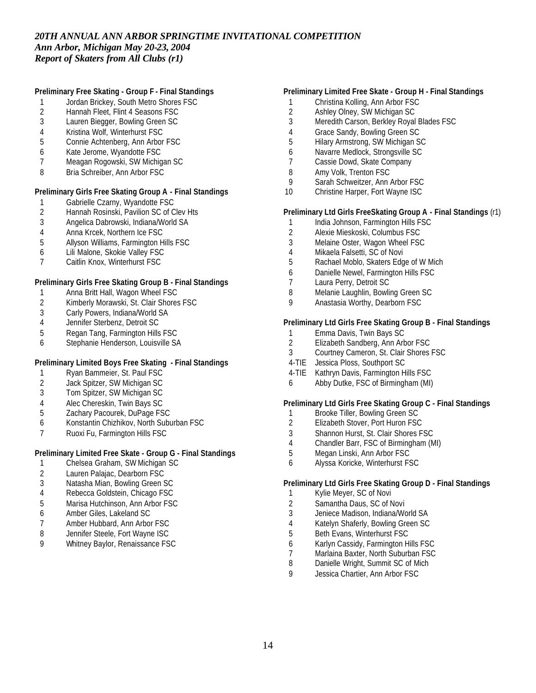# **Preliminary Free Skating - Group F - Final Standings**

- 1 Jordan Brickey, South Metro Shores FSC<br>2 Hannah Fleet, Flint 4 Seasons FSC
- 2 Hannah Fleet, Flint 4 Seasons FSC<br>3 Lauren Biegger, Bowling Green SC
- Lauren Biegger, Bowling Green SC
- Kristina Wolf, Winterhurst FSC
- Connie Achtenberg, Ann Arbor FSC
- Kate Jerome, Wyandotte FSC
- Meagan Rogowski, SW Michigan SC
- Bria Schreiber, Ann Arbor FSC

# **Preliminary Girls Free Skating Group A - Final Standings**

- 1 Gabrielle Czarny, Wyandotte FSC<br>2 Hannah Rosinski, Pavilion SC of C
- 2 Hannah Rosinski, Pavilion SC of Clev Hts<br>3 Angelica Dabrowski, Indiana/World SA
- Angelica Dabrowski, Indiana/World SA
- 
- 4 Anna Krcek, Northern Ice FSC<br>5 Allyson Williams, Farmington H Allyson Williams, Farmington Hills FSC
- Lili Malone, Skokie Valley FSC
- Caitlin Knox, Winterhurst FSC

### **Preliminary Girls Free Skating Group B - Final Standings**

- Anna Britt Hall, Wagon Wheel FSC
- 2 Kimberly Morawski, St. Clair Shores FSC<br>3 Carly Powers, Indiana/World SA
- 3 Carly Powers, Indiana/World SA<br>4 Jennifer Sterbenz. Detroit SC
- Jennifer Sterbenz, Detroit SC
- Regan Tang, Farmington Hills FSC
- Stephanie Henderson, Louisville SA

# **Preliminary Limited Boys Free Skating - Final Standings**

- 1 Ryan Bammeier, St. Paul FSC<br>2 Jack Spitzer, SW Michigan SC
- 2 Jack Spitzer, SW Michigan SC<br>3 Tom Spitzer, SW Michigan SC
- Tom Spitzer, SW Michigan SC
- Alec Chereskin, Twin Bays SC
- Zachary Pacourek, DuPage FSC
- Konstantin Chizhikov, North Suburban FSC
- 7 Ruoxi Fu, Farmington Hills FSC

# **Preliminary Limited Free Skate - Group G - Final Standings**

- Chelsea Graham, SW Michigan SC
- Lauren Palajac, Dearborn FSC
- Natasha Mian, Bowling Green SC
- Rebecca Goldstein, Chicago FSC
- Marisa Hutchinson, Ann Arbor FSC
- Amber Giles, Lakeland SC
- Amber Hubbard, Ann Arbor FSC
- Jennifer Steele, Fort Wayne ISC
- Whitney Baylor, Renaissance FSC

# **Preliminary Limited Free Skate - Group H - Final Standings**

- Christina Kolling, Ann Arbor FSC
- 2 Ashley Olney, SW Michigan SC<br>3 Meredith Carson, Berkley Royal
- Meredith Carson, Berkley Royal Blades FSC
- Grace Sandy, Bowling Green SC
- Hilary Armstrong, SW Michigan SC
- Navarre Medlock, Strongsville SC
- Cassie Dowd, Skate Company
- Amy Volk, Trenton FSC
- Sarah Schweitzer, Ann Arbor FSC
- Christine Harper, Fort Wayne ISC

### **Preliminary Ltd Girls FreeSkating Group A - Final Standings** (r1)

- 1 India Johnson, Farmington Hills FSC
- Alexie Mieskoski, Columbus FSC
- Melaine Oster, Wagon Wheel FSC
- Mikaela Falsetti, SC of Novi
- Rachael Moblo, Skaters Edge of W Mich
- Danielle Newel, Farmington Hills FSC
- Laura Perry, Detroit SC
- Melanie Laughlin, Bowling Green SC
- Anastasia Worthy, Dearborn FSC

# **Preliminary Ltd Girls Free Skating Group B - Final Standings**

- 1 Emma Davis, Twin Bays SC<br>2 Elizabeth Sandberg, Ann Art
- Elizabeth Sandberg, Ann Arbor FSC
- Courtney Cameron, St. Clair Shores FSC
- 4-TIE Jessica Ploss, Southport SC
- 4-TIE Kathryn Davis, Farmington Hills FSC
- Abby Dutke, FSC of Birmingham (MI)

#### **Preliminary Ltd Girls Free Skating Group C - Final Standings**

- 1 Brooke Tiller, Bowling Green SC
- Elizabeth Stover, Port Huron FSC
- Shannon Hurst, St. Clair Shores FSC
- Chandler Barr, FSC of Birmingham (MI)
- Megan Linski, Ann Arbor FSC
- Alyssa Koricke, Winterhurst FSC

### **Preliminary Ltd Girls Free Skating Group D - Final Standings**

- Kylie Meyer, SC of Novi
- Samantha Daus, SC of Novi
- Jeniece Madison, Indiana/World SA
- Katelyn Shaferly, Bowling Green SC
- Beth Evans, Winterhurst FSC
- Karlyn Cassidy, Farmington Hills FSC
- 7 Marlaina Baxter, North Suburban FSC<br>8 Danielle Wright, Summit SC of Mich
- Danielle Wright, Summit SC of Mich
- Jessica Chartier, Ann Arbor FSC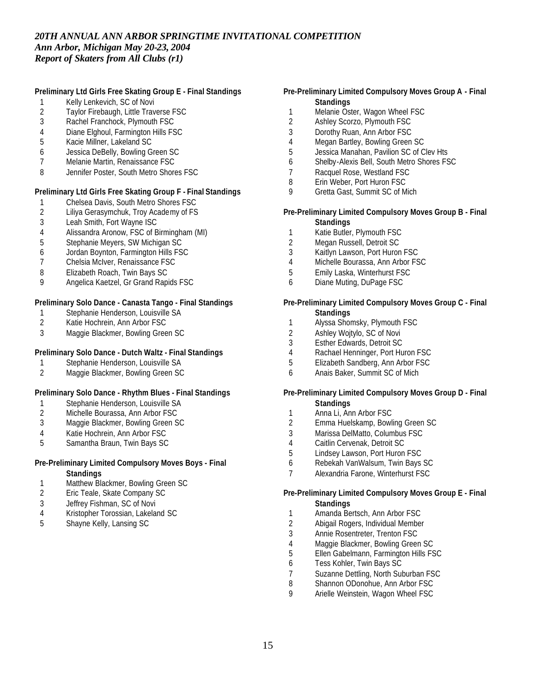# **Preliminary Ltd Girls Free Skating Group E - Final Standings**

- 1 Kelly Lenkevich, SC of Novi<br>2 Taylor Firebaugh, Little Trav
- 2 Taylor Firebaugh, Little Traverse FSC<br>3 Rachel Franchock. Plymouth FSC
- Rachel Franchock, Plymouth FSC
- Diane Elghoul, Farmington Hills FSC
- Kacie Millner, Lakeland SC
- Jessica DeBelly, Bowling Green SC
- Melanie Martin, Renaissance FSC
- Jennifer Poster, South Metro Shores FSC

# **Preliminary Ltd Girls Free Skating Group F - Final Standings**

- 1 Chelsea Davis, South Metro Shores FSC<br>2 Liliya Gerasymchuk, Troy Academy of FS
- Liliya Gerasymchuk, Troy Academy of FS
- Leah Smith, Fort Wayne ISC
- Alissandra Aronow, FSC of Birmingham (MI)
- Stephanie Meyers, SW Michigan SC
- Jordan Boynton, Farmington Hills FSC
- Chelsia McIver, Renaissance FSC
- Elizabeth Roach, Twin Bays SC
- Angelica Kaetzel, Gr Grand Rapids FSC

### **Preliminary Solo Dance - Canasta Tango - Final Standings**

- 1 Stephanie Henderson, Louisville SA<br>2 Katie Hochrein, Ann Arbor FSC
- Katie Hochrein, Ann Arbor FSC
- Maggie Blackmer, Bowling Green SC

# **Preliminary Solo Dance - Dutch Waltz - Final Standings**

- Stephanie Henderson, Louisville SA
- Maggie Blackmer, Bowling Green SC

# **Preliminary Solo Dance - Rhythm Blues - Final Standings**

- Stephanie Henderson, Louisville SA
- Michelle Bourassa, Ann Arbor FSC
- Maggie Blackmer, Bowling Green SC
- Katie Hochrein, Ann Arbor FSC
- Samantha Braun, Twin Bays SC

### **Pre-Preliminary Limited Compulsory Moves Boys - Final Standings**

- 1 Matthew Blackmer, Bowling Green SC<br>2 Eric Teale, Skate Company SC
- Eric Teale, Skate Company SC
- Jeffrey Fishman, SC of Novi
- Kristopher Torossian, Lakeland SC
- Shayne Kelly, Lansing SC

# **Pre-Preliminary Limited Compulsory Moves Group A - Final Standings**

- 1 Melanie Oster, Wagon Wheel FSC<br>2 Ashlev Scorzo, Plymouth FSC
- Ashley Scorzo, Plymouth FSC
- Dorothy Ruan, Ann Arbor FSC
- Megan Bartley, Bowling Green SC
- Jessica Manahan, Pavilion SC of Clev Hts
- Shelby-Alexis Bell, South Metro Shores FSC
- Racquel Rose, Westland FSC
- Erin Weber, Port Huron FSC
- Gretta Gast, Summit SC of Mich

#### **Pre-Preliminary Limited Compulsory Moves Group B - Final Standings**

- Katie Butler, Plymouth FSC
- Megan Russell, Detroit SC
- Kaitlyn Lawson, Port Huron FSC
- Michelle Bourassa, Ann Arbor FSC
- Emily Laska, Winterhurst FSC
- Diane Muting, DuPage FSC

#### **Pre-Preliminary Limited Compulsory Moves Group C - Final Standings**

- Alyssa Shomsky, Plymouth FSC
- Ashley Wojtylo, SC of Novi
- Esther Edwards, Detroit SC
- 4 Rachael Henninger, Port Huron FSC<br>5 Elizabeth Sandberg, Ann Arbor FSC
- Elizabeth Sandberg, Ann Arbor FSC
- Anais Baker, Summit SC of Mich

#### **Pre-Preliminary Limited Compulsory Moves Group D - Final Standings**

- Anna Li, Ann Arbor FSC
- Emma Huelskamp, Bowling Green SC
- Marissa DelMatto, Columbus FSC
- Caitlin Cervenak, Detroit SC
- Lindsey Lawson, Port Huron FSC
- Rebekah VanWalsum, Twin Bays SC
- Alexandria Farone, Winterhurst FSC

#### **Pre-Preliminary Limited Compulsory Moves Group E - Final Standings**

- Amanda Bertsch, Ann Arbor FSC
- Abigail Rogers, Individual Member
- Annie Rosentreter, Trenton FSC
- 
- 4 Maggie Blackmer, Bowling Green SC<br>5 Ellen Gabelmann, Farmington Hills FS Ellen Gabelmann, Farmington Hills FSC
- Tess Kohler, Twin Bays SC
- Suzanne Dettling, North Suburban FSC
- Shannon ODonohue, Ann Arbor FSC
- Arielle Weinstein, Wagon Wheel FSC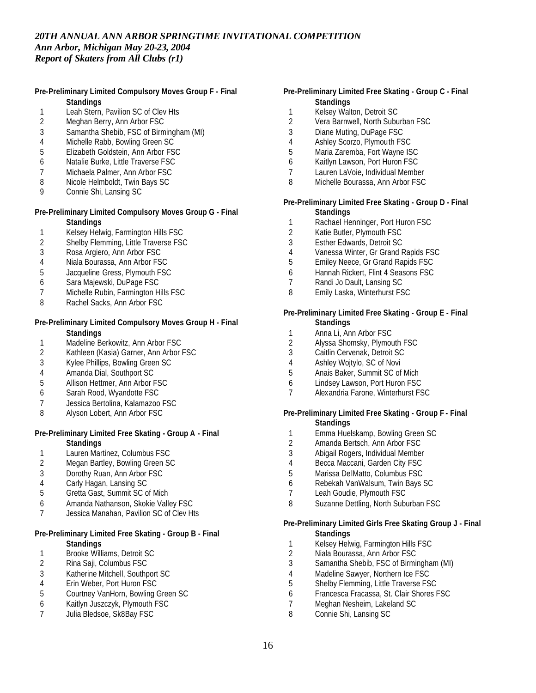# **Pre-Preliminary Limited Compulsory Moves Group F - Final Standings**

- 1 Leah Stern, Pavilion SC of Clev Hts<br>2 Meahan Berry. Ann Arbor FSC
- Meghan Berry, Ann Arbor FSC
- 3 Samantha Shebib, FSC of Birmingham (MI)
- 4 Michelle Rabb, Bowling Green SC<br>5 Elizabeth Goldstein, Ann Arbor FS
- 5 Elizabeth Goldstein, Ann Arbor FSC
- 6 Natalie Burke, Little Traverse FSC
- 7 Michaela Palmer, Ann Arbor FSC
- 8 Nicole Helmboldt, Twin Bays SC
- 9 Connie Shi, Lansing SC

# **Pre-Preliminary Limited Compulsory Moves Group G - Final Standings**

- 1 Kelsey Helwig, Farmington Hills FSC<br>2 Shelby Flemming, Little Traverse FSQ
- Shelby Flemming, Little Traverse FSC
- 3 Rosa Argiero, Ann Arbor FSC
- 4 Niala Bourassa, Ann Arbor FSC
- 5 Jacqueline Gress, Plymouth FSC
- 6 Sara Majewski, DuPage FSC
- 7 Michelle Rubin, Farmington Hills FSC
- 8 Rachel Sacks, Ann Arbor FSC

### **Pre-Preliminary Limited Compulsory Moves Group H - Final Standings**

- 1 Madeline Berkowitz, Ann Arbor FSC<br>2 Kathleen (Kasia) Garner. Ann Arbor
- 2 Kathleen (Kasia) Garner, Ann Arbor FSC<br>3 Kylee Phillips, Bowling Green SC
- 3 Kylee Phillips, Bowling Green SC
- 4 Amanda Dial, Southport SC<br>5 Allison Hettmer, Ann Arbor I
- 5 Allison Hettmer, Ann Arbor FSC
- 6 Sarah Rood, Wyandotte FSC
- 7 Jessica Bertolina, Kalamazoo FSC
- 8 Alyson Lobert, Ann Arbor FSC

#### **Pre-Preliminary Limited Free Skating - Group A - Final Standings**

- 1 Lauren Martinez, Columbus FSC<br>2 Megan Bartley, Bowling Green So
- Megan Bartley, Bowling Green SC
- 3 Dorothy Ruan, Ann Arbor FSC
- 4 Carly Hagan, Lansing SC
- 5 Gretta Gast, Summit SC of Mich
- 6 Amanda Nathanson, Skokie Valley FSC
- 7 Jessica Manahan, Pavilion SC of Clev Hts

#### **Pre-Preliminary Limited Free Skating - Group B - Final Standings**

- 1 Brooke Williams, Detroit SC<br>2 Rina Saji, Columbus FSC
- 2 Rina Saji, Columbus FSC
- 3 Katherine Mitchell, Southport SC<br>4 Erin Weber, Port Huron FSC
- 4 Erin Weber, Port Huron FSC<br>5 Courtney VanHorn, Bowling (
- 5 Courtney VanHorn, Bowling Green SC
- 6 Kaitlyn Juszczyk, Plymouth FSC Julia Bledsoe, Sk8Bay FSC
- **Pre-Preliminary Limited Free Skating Group C Final Standings**
	-
- 1 Kelsey Walton, Detroit SC<br>2 Vera Barnwell, North Subu 2 Vera Barnwell, North Suburban FSC
- 3 Diane Muting, DuPage FSC
- 
- 4 Ashley Scorzo, Plymouth FSC<br>5 Maria Zaremba, Fort Wavne IS Maria Zaremba, Fort Wayne ISC
- 6 Kaitlyn Lawson, Port Huron FSC
- 7 Lauren LaVoie, Individual Member
- 8 Michelle Bourassa, Ann Arbor FSC

#### **Pre-Preliminary Limited Free Skating - Group D - Final Standings**

- 1 Rachael Henninger, Port Huron FSC
- 2 Katie Butler, Plymouth FSC
- 3 Esther Edwards, Detroit SC
- 4 Vanessa Winter, Gr Grand Rapids FSC
- 5 Emiley Neece, Gr Grand Rapids FSC
- 6 Hannah Rickert, Flint 4 Seasons FSC
- 7 Randi Jo Dault, Lansing SC
- 8 Emily Laska, Winterhurst FSC

#### **Pre-Preliminary Limited Free Skating - Group E - Final Standings**

- 1 Anna Li, Ann Arbor FSC
- 2 Alyssa Shomsky, Plymouth FSC<br>3 Caitlin Cervenak, Detroit SC
- Caitlin Cervenak, Detroit SC
- 4 Ashley Wojtylo, SC of Novi
- 5 Anais Baker, Summit SC of Mich
- 6 Lindsey Lawson, Port Huron FSC
- 7 Alexandria Farone, Winterhurst FSC

#### **Pre-Preliminary Limited Free Skating - Group F - Final Standings**

- 1 Emma Huelskamp, Bowling Green SC
- 2 Amanda Bertsch, Ann Arbor FSC
- 3 Abigail Rogers, Individual Member
- 4 Becca Maccani, Garden City FSC
- 5 Marissa DelMatto, Columbus FSC
- 6 Rebekah VanWalsum, Twin Bays SC
- 7 Leah Goudie, Plymouth FSC
- 8 Suzanne Dettling, North Suburban FSC

# **Pre-Preliminary Limited Girls Free Skating Group J - Final Standings**

- 1 Kelsey Helwig, Farmington Hills FSC<br>2 Niala Bourassa. Ann Arbor FSC
- 2 Niala Bourassa, Ann Arbor FSC<br>3 Samantha Shebib, FSC of Birmi
- 3 Samantha Shebib, FSC of Birmingham (MI)
- 4 Madeline Sawyer, Northern Ice FSC<br>5 Shelby Flemming. Little Traverse FS
- 5 Shelby Flemming, Little Traverse FSC
- 6 Francesca Fracassa, St. Clair Shores FSC
- 7 Meghan Nesheim, Lakeland SC
- 8 Connie Shi, Lansing SC